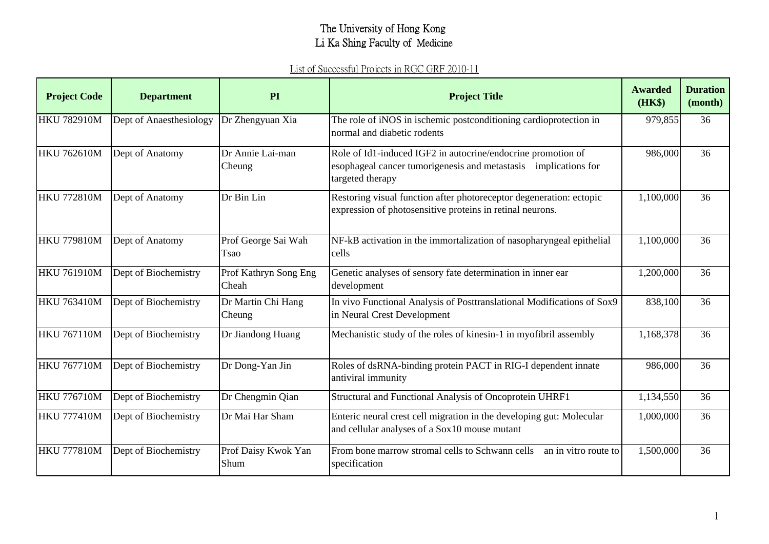| <b>Project Code</b> | <b>Department</b>       | PI                             | <b>Project Title</b>                                                                                                                                | Awarded<br>(HK\$) | <b>Duration</b><br>(month) |
|---------------------|-------------------------|--------------------------------|-----------------------------------------------------------------------------------------------------------------------------------------------------|-------------------|----------------------------|
| <b>HKU 782910M</b>  | Dept of Anaesthesiology | Dr Zhengyuan Xia               | The role of iNOS in ischemic postconditioning cardioprotection in<br>normal and diabetic rodents                                                    | 979,855           | 36                         |
| <b>HKU 762610M</b>  | Dept of Anatomy         | Dr Annie Lai-man<br>Cheung     | Role of Id1-induced IGF2 in autocrine/endocrine promotion of<br>esophageal cancer tumorigenesis and metastasis implications for<br>targeted therapy | 986,000           | 36                         |
| <b>HKU 772810M</b>  | Dept of Anatomy         | Dr Bin Lin                     | Restoring visual function after photoreceptor degeneration: ectopic<br>expression of photosensitive proteins in retinal neurons.                    | 1,100,000         | 36                         |
| <b>HKU 779810M</b>  | Dept of Anatomy         | Prof George Sai Wah<br>Tsao    | NF-kB activation in the immortalization of nasopharyngeal epithelial<br>cells                                                                       | 1,100,000         | 36                         |
| <b>HKU 761910M</b>  | Dept of Biochemistry    | Prof Kathryn Song Eng<br>Cheah | Genetic analyses of sensory fate determination in inner ear<br>development                                                                          | 1,200,000         | 36                         |
| <b>HKU 763410M</b>  | Dept of Biochemistry    | Dr Martin Chi Hang<br>Cheung   | In vivo Functional Analysis of Posttranslational Modifications of Sox9<br>in Neural Crest Development                                               | 838,100           | 36                         |
| <b>HKU 767110M</b>  | Dept of Biochemistry    | Dr Jiandong Huang              | Mechanistic study of the roles of kinesin-1 in myofibril assembly                                                                                   | 1,168,378         | 36                         |
| <b>HKU 767710M</b>  | Dept of Biochemistry    | Dr Dong-Yan Jin                | Roles of dsRNA-binding protein PACT in RIG-I dependent innate<br>antiviral immunity                                                                 | 986,000           | 36                         |
| <b>HKU 776710M</b>  | Dept of Biochemistry    | Dr Chengmin Qian               | Structural and Functional Analysis of Oncoprotein UHRF1                                                                                             | 1,134,550         | 36                         |
| <b>HKU 777410M</b>  | Dept of Biochemistry    | Dr Mai Har Sham                | Enteric neural crest cell migration in the developing gut: Molecular<br>and cellular analyses of a Sox10 mouse mutant                               | 1,000,000         | 36                         |
| <b>HKU 777810M</b>  | Dept of Biochemistry    | Prof Daisy Kwok Yan<br>Shum    | From bone marrow stromal cells to Schwann cells<br>an in vitro route to<br>specification                                                            | 1,500,000         | 36                         |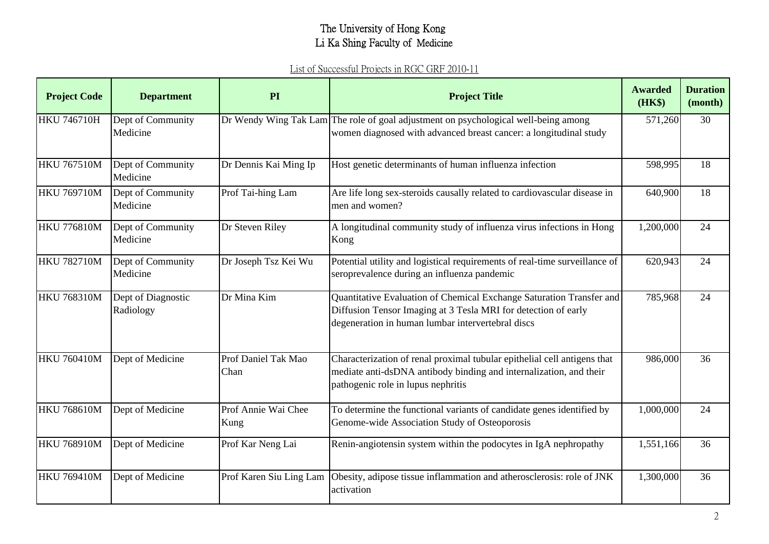| <b>Project Code</b> | <b>Department</b>               | PI                          | <b>Project Title</b>                                                                                                                                                                        | <b>Awarded</b><br>(HK\$) | <b>Duration</b><br>(month) |
|---------------------|---------------------------------|-----------------------------|---------------------------------------------------------------------------------------------------------------------------------------------------------------------------------------------|--------------------------|----------------------------|
| <b>HKU 746710H</b>  | Dept of Community<br>Medicine   |                             | Dr Wendy Wing Tak Lam The role of goal adjustment on psychological well-being among<br>women diagnosed with advanced breast cancer: a longitudinal study                                    | 571,260                  | 30                         |
| <b>HKU 767510M</b>  | Dept of Community<br>Medicine   | Dr Dennis Kai Ming Ip       | Host genetic determinants of human influenza infection                                                                                                                                      | 598,995                  | 18                         |
| <b>HKU 769710M</b>  | Dept of Community<br>Medicine   | Prof Tai-hing Lam           | Are life long sex-steroids causally related to cardiovascular disease in<br>men and women?                                                                                                  | 640,900                  | 18                         |
| <b>HKU 776810M</b>  | Dept of Community<br>Medicine   | Dr Steven Riley             | A longitudinal community study of influenza virus infections in Hong<br>Kong                                                                                                                | 1,200,000                | 24                         |
| <b>HKU 782710M</b>  | Dept of Community<br>Medicine   | Dr Joseph Tsz Kei Wu        | Potential utility and logistical requirements of real-time surveillance of<br>seroprevalence during an influenza pandemic                                                                   | 620,943                  | 24                         |
| <b>HKU 768310M</b>  | Dept of Diagnostic<br>Radiology | Dr Mina Kim                 | Quantitative Evaluation of Chemical Exchange Saturation Transfer and<br>Diffusion Tensor Imaging at 3 Tesla MRI for detection of early<br>degeneration in human lumbar intervertebral discs | 785,968                  | 24                         |
| <b>HKU 760410M</b>  | Dept of Medicine                | Prof Daniel Tak Mao<br>Chan | Characterization of renal proximal tubular epithelial cell antigens that<br>mediate anti-dsDNA antibody binding and internalization, and their<br>pathogenic role in lupus nephritis        | 986,000                  | 36                         |
| <b>HKU 768610M</b>  | Dept of Medicine                | Prof Annie Wai Chee<br>Kung | To determine the functional variants of candidate genes identified by<br>Genome-wide Association Study of Osteoporosis                                                                      | 1,000,000                | 24                         |
| <b>HKU 768910M</b>  | Dept of Medicine                | Prof Kar Neng Lai           | Renin-angiotensin system within the podocytes in IgA nephropathy                                                                                                                            | 1,551,166                | 36                         |
| <b>HKU 769410M</b>  | Dept of Medicine                | Prof Karen Siu Ling Lam     | Obesity, adipose tissue inflammation and atherosclerosis: role of JNK<br>activation                                                                                                         | 1,300,000                | 36                         |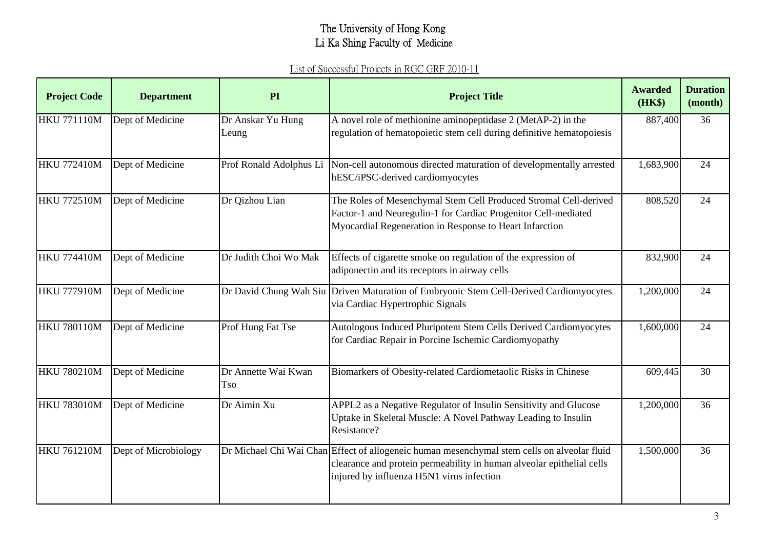| <b>Project Code</b> | <b>Department</b>    | PI                                | <b>Project Title</b>                                                                                                                                                                                              | <b>Awarded</b><br>(HK\$) | <b>Duration</b><br>(month) |
|---------------------|----------------------|-----------------------------------|-------------------------------------------------------------------------------------------------------------------------------------------------------------------------------------------------------------------|--------------------------|----------------------------|
| <b>HKU 771110M</b>  | Dept of Medicine     | Dr Anskar Yu Hung<br>Leung        | A novel role of methionine aminopeptidase 2 (MetAP-2) in the<br>regulation of hematopoietic stem cell during definitive hematopoiesis                                                                             | 887,400                  | 36                         |
| <b>HKU 772410M</b>  | Dept of Medicine     | Prof Ronald Adolphus Li           | Non-cell autonomous directed maturation of developmentally arrested<br>hESC/iPSC-derived cardiomyocytes                                                                                                           | 1,683,900                | 24                         |
| <b>HKU 772510M</b>  | Dept of Medicine     | Dr Qizhou Lian                    | The Roles of Mesenchymal Stem Cell Produced Stromal Cell-derived<br>Factor-1 and Neuregulin-1 for Cardiac Progenitor Cell-mediated<br>Myocardial Regeneration in Response to Heart Infarction                     | 808,520                  | 24                         |
| <b>HKU 774410M</b>  | Dept of Medicine     | Dr Judith Choi Wo Mak             | Effects of cigarette smoke on regulation of the expression of<br>adiponectin and its receptors in airway cells                                                                                                    | 832,900                  | 24                         |
| <b>HKU 777910M</b>  | Dept of Medicine     |                                   | Dr David Chung Wah Siu Driven Maturation of Embryonic Stem Cell-Derived Cardiomyocytes<br>via Cardiac Hypertrophic Signals                                                                                        | 1,200,000                | 24                         |
| HKU 780110M         | Dept of Medicine     | Prof Hung Fat Tse                 | Autologous Induced Pluripotent Stem Cells Derived Cardiomyocytes<br>for Cardiac Repair in Porcine Ischemic Cardiomyopathy                                                                                         | 1,600,000                | 24                         |
| <b>HKU 780210M</b>  | Dept of Medicine     | Dr Annette Wai Kwan<br><b>Tso</b> | Biomarkers of Obesity-related Cardiometaolic Risks in Chinese                                                                                                                                                     | 609,445                  | 30                         |
| <b>HKU 783010M</b>  | Dept of Medicine     | Dr Aimin Xu                       | APPL2 as a Negative Regulator of Insulin Sensitivity and Glucose<br>Uptake in Skeletal Muscle: A Novel Pathway Leading to Insulin<br>Resistance?                                                                  | 1,200,000                | 36                         |
| <b>HKU 761210M</b>  | Dept of Microbiology |                                   | Dr Michael Chi Wai Chan Effect of allogeneic human mesenchymal stem cells on alveolar fluid<br>clearance and protein permeability in human alveolar epithelial cells<br>injured by influenza H5N1 virus infection | 1,500,000                | 36                         |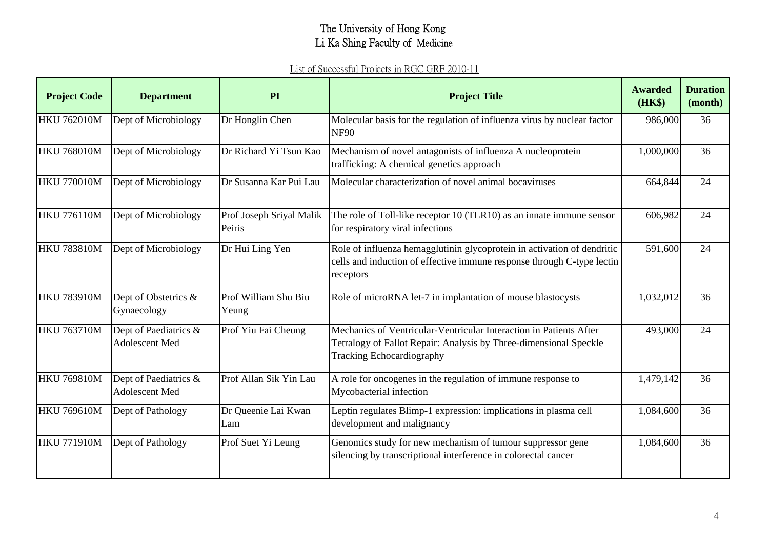| <b>Project Code</b> | <b>Department</b>                       | PI                                 | <b>Project Title</b>                                                                                                                                                        | <b>Awarded</b><br>(HK\$) | <b>Duration</b><br>(month) |
|---------------------|-----------------------------------------|------------------------------------|-----------------------------------------------------------------------------------------------------------------------------------------------------------------------------|--------------------------|----------------------------|
| <b>HKU 762010M</b>  | Dept of Microbiology                    | Dr Honglin Chen                    | Molecular basis for the regulation of influenza virus by nuclear factor<br><b>NF90</b>                                                                                      | 986,000                  | 36                         |
| <b>HKU 768010M</b>  | Dept of Microbiology                    | Dr Richard Yi Tsun Kao             | Mechanism of novel antagonists of influenza A nucleoprotein<br>trafficking: A chemical genetics approach                                                                    | 1,000,000                | 36                         |
| <b>HKU 770010M</b>  | Dept of Microbiology                    | Dr Susanna Kar Pui Lau             | Molecular characterization of novel animal bocaviruses                                                                                                                      | 664,844                  | 24                         |
| <b>HKU 776110M</b>  | Dept of Microbiology                    | Prof Joseph Sriyal Malik<br>Peiris | The role of Toll-like receptor 10 (TLR10) as an innate immune sensor<br>for respiratory viral infections                                                                    | 606,982                  | 24                         |
| <b>HKU 783810M</b>  | Dept of Microbiology                    | Dr Hui Ling Yen                    | Role of influenza hemagglutinin glycoprotein in activation of dendritic<br>cells and induction of effective immune response through C-type lectin<br>receptors              | 591,600                  | 24                         |
| <b>HKU 783910M</b>  | Dept of Obstetrics &<br>Gynaecology     | Prof William Shu Biu<br>Yeung      | Role of microRNA let-7 in implantation of mouse blastocysts                                                                                                                 | 1,032,012                | 36                         |
| <b>HKU 763710M</b>  | Dept of Paediatrics &<br>Adolescent Med | Prof Yiu Fai Cheung                | Mechanics of Ventricular-Ventricular Interaction in Patients After<br>Tetralogy of Fallot Repair: Analysis by Three-dimensional Speckle<br><b>Tracking Echocardiography</b> | 493,000                  | 24                         |
| <b>HKU 769810M</b>  | Dept of Paediatrics &<br>Adolescent Med | Prof Allan Sik Yin Lau             | A role for oncogenes in the regulation of immune response to<br>Mycobacterial infection                                                                                     | 1,479,142                | 36                         |
| <b>HKU 769610M</b>  | Dept of Pathology                       | Dr Queenie Lai Kwan<br>Lam         | Leptin regulates Blimp-1 expression: implications in plasma cell<br>development and malignancy                                                                              | 1,084,600                | 36                         |
| <b>HKU 771910M</b>  | Dept of Pathology                       | Prof Suet Yi Leung                 | Genomics study for new mechanism of tumour suppressor gene<br>silencing by transcriptional interference in colorectal cancer                                                | 1,084,600                | 36                         |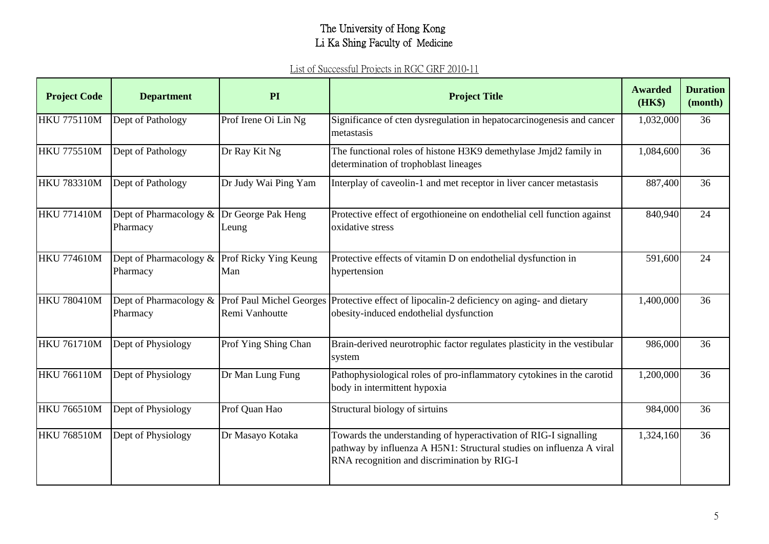| <b>Project Code</b> | <b>Department</b>                                        | PI                   | <b>Project Title</b>                                                                                                                                                                    | <b>Awarded</b><br>(HK\$) | <b>Duration</b><br>(month) |
|---------------------|----------------------------------------------------------|----------------------|-----------------------------------------------------------------------------------------------------------------------------------------------------------------------------------------|--------------------------|----------------------------|
| <b>HKU 775110M</b>  | Dept of Pathology                                        | Prof Irene Oi Lin Ng | Significance of cten dysregulation in hepatocarcinogenesis and cancer<br>metastasis                                                                                                     | 1,032,000                | 36                         |
| <b>HKU 775510M</b>  | Dept of Pathology                                        | Dr Ray Kit $Ng$      | The functional roles of histone H3K9 demethylase Jmjd2 family in<br>determination of trophoblast lineages                                                                               | 1,084,600                | 36                         |
| <b>HKU 783310M</b>  | Dept of Pathology                                        | Dr Judy Wai Ping Yam | Interplay of caveolin-1 and met receptor in liver cancer metastasis                                                                                                                     | 887,400                  | 36                         |
| <b>HKU 771410M</b>  | Dept of Pharmacology & Dr George Pak Heng<br>Pharmacy    | Leung                | Protective effect of ergothioneine on endothelial cell function against<br>oxidative stress                                                                                             | 840,940                  | 24                         |
| <b>HKU 774610M</b>  | Dept of Pharmacology & Prof Ricky Ying Keung<br>Pharmacy | Man                  | Protective effects of vitamin D on endothelial dysfunction in<br>hypertension                                                                                                           | 591,600                  | 24                         |
| <b>HKU 780410M</b>  | Pharmacy                                                 | Remi Vanhoutte       | Dept of Pharmacology & Prof Paul Michel Georges Protective effect of lipocalin-2 deficiency on aging- and dietary<br>obesity-induced endothelial dysfunction                            | 1,400,000                | 36                         |
| <b>HKU 761710M</b>  | Dept of Physiology                                       | Prof Ying Shing Chan | Brain-derived neurotrophic factor regulates plasticity in the vestibular<br>system                                                                                                      | 986,000                  | 36                         |
| <b>HKU 766110M</b>  | Dept of Physiology                                       | Dr Man Lung Fung     | Pathophysiological roles of pro-inflammatory cytokines in the carotid<br>body in intermittent hypoxia                                                                                   | 1,200,000                | 36                         |
| <b>HKU 766510M</b>  | Dept of Physiology                                       | Prof Quan Hao        | Structural biology of sirtuins                                                                                                                                                          | 984,000                  | 36                         |
| <b>HKU 768510M</b>  | Dept of Physiology                                       | Dr Masayo Kotaka     | Towards the understanding of hyperactivation of RIG-I signalling<br>pathway by influenza A H5N1: Structural studies on influenza A viral<br>RNA recognition and discrimination by RIG-I | 1,324,160                | 36                         |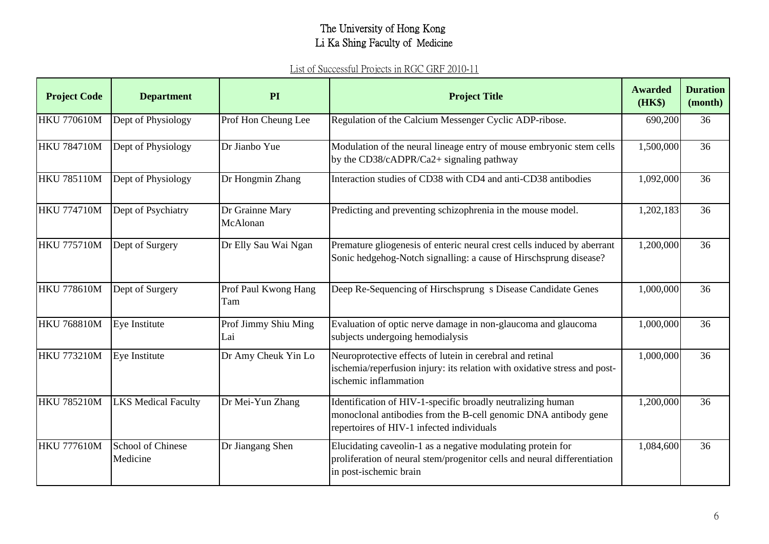| <b>Project Code</b> | <b>Department</b>                    | PI                          | <b>Project Title</b>                                                                                                                                                        | <b>Awarded</b><br>(HK\$) | <b>Duration</b><br>(month) |
|---------------------|--------------------------------------|-----------------------------|-----------------------------------------------------------------------------------------------------------------------------------------------------------------------------|--------------------------|----------------------------|
| <b>HKU 770610M</b>  | Dept of Physiology                   | Prof Hon Cheung Lee         | Regulation of the Calcium Messenger Cyclic ADP-ribose.                                                                                                                      | 690,200                  | 36                         |
| <b>HKU 784710M</b>  | Dept of Physiology                   | Dr Jianbo Yue               | Modulation of the neural lineage entry of mouse embryonic stem cells<br>by the CD38/cADPR/Ca2+ signaling pathway                                                            | 1,500,000                | 36                         |
| <b>HKU 785110M</b>  | Dept of Physiology                   | Dr Hongmin Zhang            | Interaction studies of CD38 with CD4 and anti-CD38 antibodies                                                                                                               | 1,092,000                | 36                         |
| <b>HKU 774710M</b>  | Dept of Psychiatry                   | Dr Grainne Mary<br>McAlonan | Predicting and preventing schizophrenia in the mouse model.                                                                                                                 | 1,202,183                | 36                         |
| <b>HKU 775710M</b>  | Dept of Surgery                      | Dr Elly Sau Wai Ngan        | Premature gliogenesis of enteric neural crest cells induced by aberrant<br>Sonic hedgehog-Notch signalling: a cause of Hirschsprung disease?                                | 1,200,000                | 36                         |
| <b>HKU 778610M</b>  | Dept of Surgery                      | Prof Paul Kwong Hang<br>Tam | Deep Re-Sequencing of Hirschsprung s Disease Candidate Genes                                                                                                                | 1,000,000                | 36                         |
| <b>HKU 768810M</b>  | Eye Institute                        | Prof Jimmy Shiu Ming<br>Lai | Evaluation of optic nerve damage in non-glaucoma and glaucoma<br>subjects undergoing hemodialysis                                                                           | 1,000,000                | 36                         |
| <b>HKU 773210M</b>  | Eye Institute                        | Dr Amy Cheuk Yin Lo         | Neuroprotective effects of lutein in cerebral and retinal<br>ischemia/reperfusion injury: its relation with oxidative stress and post-<br>ischemic inflammation             | 1,000,000                | 36                         |
| <b>HKU 785210M</b>  | <b>LKS Medical Faculty</b>           | Dr Mei-Yun Zhang            | Identification of HIV-1-specific broadly neutralizing human<br>monoclonal antibodies from the B-cell genomic DNA antibody gene<br>repertoires of HIV-1 infected individuals | 1,200,000                | 36                         |
| <b>HKU 777610M</b>  | <b>School of Chinese</b><br>Medicine | Dr Jiangang Shen            | Elucidating caveolin-1 as a negative modulating protein for<br>proliferation of neural stem/progenitor cells and neural differentiation<br>in post-ischemic brain           | 1,084,600                | 36                         |